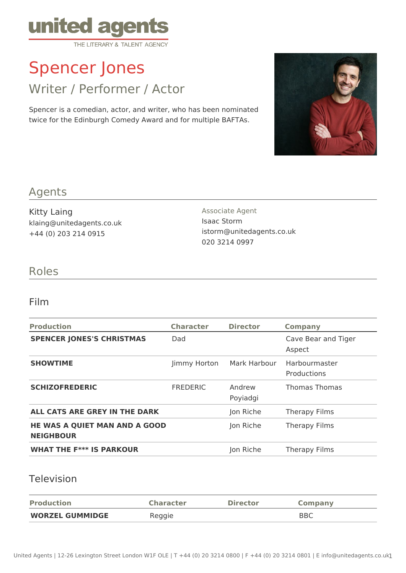

# Spencer Jones

Writer / Performer / Actor

Spencer is a comedian, actor, and writer, who has been nominated twice for the Edinburgh Comedy Award and for multiple BAFTAs.



#### Agents

Kitty Laing klaing@unitedagents.co.uk +44 (0) 203 214 0915

Associate Agent Isaac Storm istorm@unitedagents.co.uk 020 3214 0997

### Roles

#### Film

| <b>Production</b>                                        | <b>Character</b> | <b>Director</b>    | <b>Company</b>                |
|----------------------------------------------------------|------------------|--------------------|-------------------------------|
| <b>SPENCER JONES'S CHRISTMAS</b>                         | Dad              |                    | Cave Bear and Tiger<br>Aspect |
| <b>SHOWTIME</b>                                          | Jimmy Horton     | Mark Harbour       | Harbourmaster<br>Productions  |
| <b>SCHIZOFREDERIC</b>                                    | <b>FREDERIC</b>  | Andrew<br>Poyiadgi | <b>Thomas Thomas</b>          |
| ALL CATS ARE GREY IN THE DARK                            |                  | Jon Riche          | Therapy Films                 |
| <b>HE WAS A QUIET MAN AND A GOOD</b><br><b>NEIGHBOUR</b> |                  | Jon Riche          | Therapy Films                 |
| <b>WHAT THE F*** IS PARKOUR</b>                          |                  | Jon Riche          | <b>Therapy Films</b>          |

#### Television

| <b>Production</b>      | <b>Character</b> | <b>Director</b> | Company    |
|------------------------|------------------|-----------------|------------|
| <b>WORZEL GUMMIDGE</b> | Reggie           |                 | <b>BBC</b> |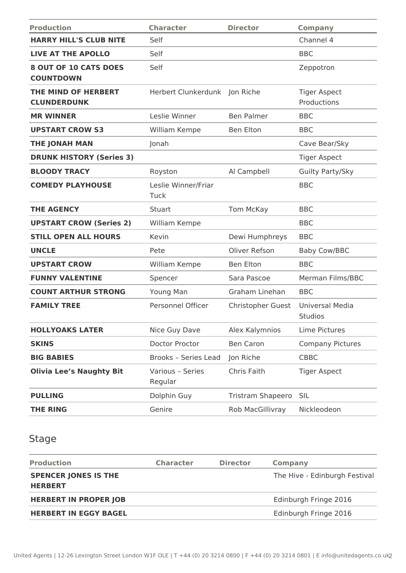| <b>Production</b>                                | <b>Character</b>              | <b>Director</b>   | <b>Company</b>                     |
|--------------------------------------------------|-------------------------------|-------------------|------------------------------------|
| <b>HARRY HILL'S CLUB NITE</b>                    | Self                          |                   | Channel 4                          |
| <b>LIVE AT THE APOLLO</b>                        | Self                          |                   | <b>BBC</b>                         |
| <b>8 OUT OF 10 CATS DOES</b><br><b>COUNTDOWN</b> | Self                          |                   | Zeppotron                          |
| THE MIND OF HERBERT<br><b>CLUNDERDUNK</b>        | Herbert Clunkerdunk Jon Riche |                   | <b>Tiger Aspect</b><br>Productions |
| <b>MR WINNER</b>                                 | Leslie Winner                 | <b>Ben Palmer</b> | <b>BBC</b>                         |
| <b>UPSTART CROW S3</b>                           | William Kempe                 | <b>Ben Elton</b>  | <b>BBC</b>                         |
| THE JONAH MAN                                    | Jonah                         |                   | Cave Bear/Sky                      |
| <b>DRUNK HISTORY (Series 3)</b>                  |                               |                   | <b>Tiger Aspect</b>                |
| <b>BLOODY TRACY</b>                              | Royston                       | Al Campbell       | Guilty Party/Sky                   |
| <b>COMEDY PLAYHOUSE</b>                          | Leslie Winner/Friar<br>Tuck   |                   | <b>BBC</b>                         |
| <b>THE AGENCY</b>                                | Stuart                        | Tom McKay         | <b>BBC</b>                         |
| <b>UPSTART CROW (Series 2)</b>                   | William Kempe                 |                   | <b>BBC</b>                         |
| <b>STILL OPEN ALL HOURS</b>                      | Kevin                         | Dewi Humphreys    | <b>BBC</b>                         |
| <b>UNCLE</b>                                     | Pete                          | Oliver Refson     | <b>Baby Cow/BBC</b>                |
| <b>UPSTART CROW</b>                              | William Kempe                 | <b>Ben Elton</b>  | <b>BBC</b>                         |
| <b>FUNNY VALENTINE</b>                           | Spencer                       | Sara Pascoe       | Merman Films/BBC                   |
| <b>COUNT ARTHUR STRONG</b>                       | Young Man                     | Graham Linehan    | <b>BBC</b>                         |
| <b>FAMILY TREE</b>                               | Personnel Officer             | Christopher Guest | Universal Media<br><b>Studios</b>  |
| <b>HOLLYOAKS LATER</b>                           | Nice Guy Dave                 | Alex Kalymnios    | Lime Pictures                      |
| <b>SKINS</b>                                     | Doctor Proctor                | <b>Ben Caron</b>  | <b>Company Pictures</b>            |
| <b>BIG BABIES</b>                                | Brooks - Series Lead          | Jon Riche         | <b>CBBC</b>                        |
| <b>Olivia Lee's Naughty Bit</b>                  | Various - Series<br>Regular   | Chris Faith       | <b>Tiger Aspect</b>                |
| <b>PULLING</b>                                   | Dolphin Guy                   | Tristram Shapeero | <b>SIL</b>                         |
| <b>THE RING</b>                                  | Genire                        | Rob MacGillivray  | Nickleodeon                        |

# Stage

| <b>Production</b>                             | <b>Character</b> | <b>Director</b> | <b>Company</b>                |
|-----------------------------------------------|------------------|-----------------|-------------------------------|
| <b>SPENCER JONES IS THE</b><br><b>HERBERT</b> |                  |                 | The Hive - Edinburgh Festival |
| <b>HERBERT IN PROPER JOB</b>                  |                  |                 | Edinburgh Fringe 2016         |
| <b>HERBERT IN EGGY BAGEL</b>                  |                  |                 | Edinburgh Fringe 2016         |